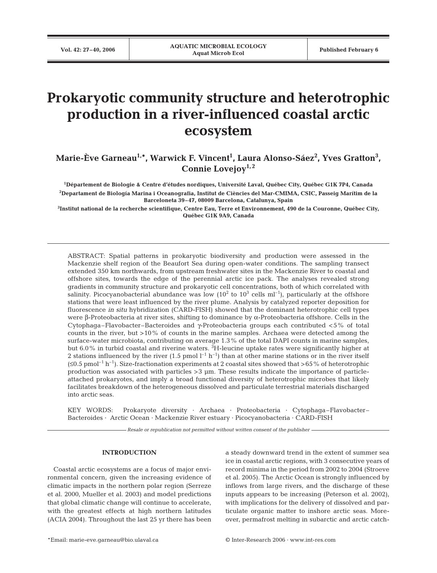# **Prokaryotic community structure and heterotrophic production in a river-influenced coastal arctic ecosystem**

**Marie-Ève Garneau1,\*, Warwick F. Vincent1 , Laura Alonso-Sáez2 , Yves Gratton3 ,** Connie Lovejoy<sup>1, 2</sup>

**1 Département de Biologie & Centre d'études nordiques, Université Laval, Québec City, Québec G1K 7P4, Canada 2 Departament de Biología Marina i Oceanografia, Institut de Ciències del Mar-CMIMA, CSIC, Passeig Marítim de la Barceloneta 39–47, 08009 Barcelona, Catalunya, Spain**

**3 Institut national de la recherche scientifique, Centre Eau, Terre et Environnement, 490 de la Couronne, Québec City, Québec G1K 9A9, Canada**

ABSTRACT: Spatial patterns in prokaryotic biodiversity and production were assessed in the Mackenzie shelf region of the Beaufort Sea during open-water conditions. The sampling transect extended 350 km northwards, from upstream freshwater sites in the Mackenzie River to coastal and offshore sites, towards the edge of the perennial arctic ice pack. The analyses revealed strong gradients in community structure and prokaryotic cell concentrations, both of which correlated with salinity. Picocyanobacterial abundance was low  $(10^2 \text{ to } 10^3 \text{ cells } \text{ml}^{-1})$ , particularly at the offshore stations that were least influenced by the river plume. Analysis by catalyzed reporter deposition for fluorescence *in situ* hybridization (CARD-FISH) showed that the dominant heterotrophic cell types were β-Proteobacteria at river sites, shifting to dominance by α-Proteobacteria offshore. Cells in the Cytophaga–Flavobacter–Bacteroides and γ-Proteobacteria groups each contributed <5% of total counts in the river, but >10% of counts in the marine samples. Archaea were detected among the surface-water microbiota, contributing on average 1.3% of the total DAPI counts in marine samples, but 6.0% in turbid coastal and riverine waters.  ${}^{3}{\rm H}$ -leucine uptake rates were significantly higher at 2 stations influenced by the river (1.5 pmol  $l^{-1}$  h<sup>-1</sup>) than at other marine stations or in the river itself  $(\leq 0.5 \text{ pmol}^{-1} \text{ h}^{-1})$ . Size-fractionation experiments at 2 coastal sites showed that >65% of heterotrophic production was associated with particles >3 µm. These results indicate the importance of particleattached prokaryotes, and imply a broad functional diversity of heterotrophic microbes that likely facilitates breakdown of the heterogeneous dissolved and particulate terrestrial materials discharged into arctic seas.

KEY WORDS: Prokaryote diversity · Archaea · Proteobacteria · Cytophaga–Flavobacter– Bacteroides · Arctic Ocean · Mackenzie River estuary · Picocyanobacteria · CARD-FISH

*Resale or republication not permitted without written consent of the publisher*

# **INTRODUCTION**

Coastal arctic ecosystems are a focus of major environmental concern, given the increasing evidence of climatic impacts in the northern polar region (Serreze et al. 2000, Mueller et al. 2003) and model predictions that global climatic change will continue to accelerate, with the greatest effects at high northern latitudes (ACIA 2004). Throughout the last 25 yr there has been a steady downward trend in the extent of summer sea ice in coastal arctic regions, with 3 consecutive years of record minima in the period from 2002 to 2004 (Stroeve et al. 2005). The Arctic Ocean is strongly influenced by inflows from large rivers, and the discharge of these inputs appears to be increasing (Peterson et al. 2002), with implications for the delivery of dissolved and particulate organic matter to inshore arctic seas. Moreover, permafrost melting in subarctic and arctic catch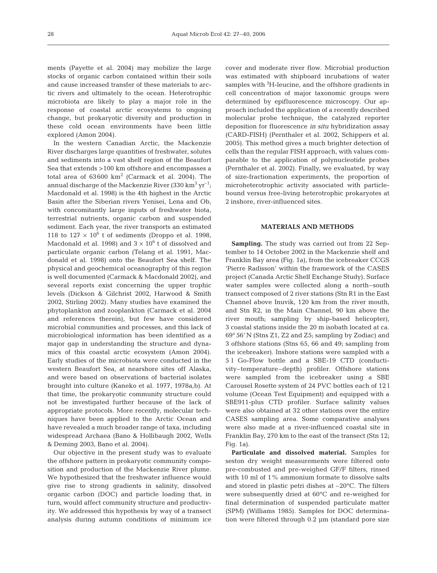ments (Payette et al. 2004) may mobilize the large stocks of organic carbon contained within their soils and cause increased transfer of these materials to arctic rivers and ultimately to the ocean. Heterotrophic microbiota are likely to play a major role in the response of coastal arctic ecosystems to ongoing change, but prokaryotic diversity and production in these cold ocean environments have been little explored (Amon 2004).

In the western Canadian Arctic, the Mackenzie River discharges large quantities of freshwater, solutes and sediments into a vast shelf region of the Beaufort Sea that extends >100 km offshore and encompasses a total area of  $63600 \text{ km}^2$  (Carmack et al. 2004). The annual discharge of the Mackenzie River (330 km<sup>3</sup> yr<sup>-1</sup>; Macdonald et al. 1998) is the 4th highest in the Arctic Basin after the Siberian rivers Yenisei, Lena and Ob, with concomitantly large inputs of freshwater biota, terrestrial nutrients, organic carbon and suspended sediment. Each year, the river transports an estimated 118 to  $127 \times 10^6$  t of sediments (Droppo et al. 1998, Macdonald et al. 1998) and  $3 \times 10^6$  t of dissolved and particulate organic carbon (Telang et al. 1991, Macdonald et al. 1998) onto the Beaufort Sea shelf. The physical and geochemical oceanography of this region is well documented (Carmack & Macdonald 2002), and several reports exist concerning the upper trophic levels (Dickson & Gilchrist 2002, Harwood & Smith 2002, Stirling 2002). Many studies have examined the phytoplankton and zooplankton (Carmack et al. 2004 and references therein), but few have considered microbial communities and processes, and this lack of microbiological information has been identified as a major gap in understanding the structure and dynamics of this coastal arctic ecosystem (Amon 2004). Early studies of the microbiota were conducted in the western Beaufort Sea, at nearshore sites off Alaska, and were based on observations of bacterial isolates brought into culture (Kaneko et al. 1977, 1978a,b). At that time, the prokaryotic community structure could not be investigated further because of the lack of appropriate protocols. More recently, molecular techniques have been applied to the Arctic Ocean and have revealed a much broader range of taxa, including widespread Archaea (Bano & Hollibaugh 2002, Wells & Deming 2003, Bano et al. 2004).

Our objective in the present study was to evaluate the offshore pattern in prokaryotic community composition and production of the Mackenzie River plume. We hypothesized that the freshwater influence would give rise to strong gradients in salinity, dissolved organic carbon (DOC) and particle loading that, in turn, would affect community structure and productivity. We addressed this hypothesis by way of a transect analysis during autumn conditions of minimum ice

cover and moderate river flow. Microbial production was estimated with shipboard incubations of water samples with <sup>3</sup>H-leucine, and the offshore gradients in cell concentration of major taxonomic groups were determined by epifluorescence microscopy. Our approach included the application of a recently described molecular probe technique, the catalyzed reporter deposition for fluorescence *in situ* hybridization assay (CARD-FISH) (Pernthaler et al. 2002, Schippers et al. 2005). This method gives a much brighter detection of cells than the regular FISH approach, with values comparable to the application of polynucleotide probes (Pernthaler et al. 2002). Finally, we evaluated, by way of size-fractionation experiments, the proportion of microheterotrophic activity associated with particlebound versus free-living heterotrophic prokaryotes at 2 inshore, river-influenced sites.

# **MATERIALS AND METHODS**

**Sampling.** The study was carried out from 22 September to 14 October 2002 in the Mackenzie shelf and Franklin Bay area (Fig. 1a), from the icebreaker CCGS 'Pierre Radisson' within the framework of the CASES project (Canada Arctic Shelf Exchange Study)*.* Surface water samples were collected along a north–south transect composed of 2 river stations (Stn R1 in the East Channel above Inuvik, 120 km from the river mouth, and Stn R2, in the Main Channel, 90 km above the river mouth; sampling by ship-based helicopter), 3 coastal stations inside the 20 m isobath located at ca. 69° 56' N (Stns Z1, Z2 and Z5; sampling by Zodiac) and 3 offshore stations (Stns 65, 66 and 49; sampling from the icebreaker). Inshore stations were sampled with a 5 l Go-Flow bottle and a SBE-19 CTD (conductivity–temperature–depth) profiler. Offshore stations were sampled from the icebreaker using a SBE Carousel Rosette system of 24 PVC bottles each of 12 l volume (Ocean Test Equipment) and equipped with a SBE911-plus CTD profiler. Surface salinity values were also obtained at 32 other stations over the entire CASES sampling area. Some comparative analyses were also made at a river-influenced coastal site in Franklin Bay, 270 km to the east of the transect (Stn 12; Fig. 1a).

**Particulate and dissolved material.** Samples for seston dry weight measurements were filtered onto pre-combusted and pre-weighed GF/F filters, rinsed with 10 ml of 1% ammonium formate to dissolve salts and stored in plastic petri dishes at –20°C. The filters were subsequently dried at 60°C and re-weighed for final determination of suspended particulate matter (SPM) (Williams 1985). Samples for DOC determination were filtered through 0.2 µm (standard pore size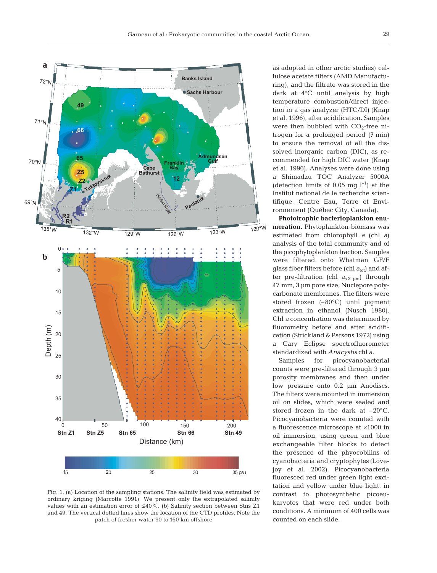

Fig. 1. (a) Location of the sampling stations. The salinity field was estimated by ordinary kriging (Marcotte 1991). We present only the extrapolated salinity values with an estimation error of ≤40%. (b) Salinity section between Stns Z1 and 49. The vertical dotted lines show the location of the CTD profiles. Note the patch of fresher water 90 to 160 km offshore

as adopted in other arctic studies) cellulose acetate filters (AMD Manufacturing), and the filtrate was stored in the dark at 4°C until analysis by high temperature combustion/direct injection in a gas analyzer (HTC/DI) (Knap et al. 1996), after acidification. Samples were then bubbled with  $CO<sub>2</sub>$ -free nitrogen for a prolonged period (7 min) to ensure the removal of all the dissolved inorganic carbon (DIC), as recommended for high DIC water (Knap et al. 1996). Analyses were done using a Shimadzu TOC Analyzer 5000A (detection limits of 0.05 mg  $l^{-1}$ ) at the Institut national de la recherche scientifique, Centre Eau, Terre et Environnement (Québec City, Canada).

**Phototrophic bacterioplankton enumeration.** Phytoplankton biomass was estimated from chlorophyll *a* (chl *a*) analysis of the total community and of the picophytoplankton fraction. Samples were filtered onto Whatman GF/F glass fiber filters before (chl  $a_{\text{tot}}$ ) and after pre-filtration (chl  $a_{< 3 \text{ um}}$ ) through 47 mm, 3 µm pore size, Nuclepore polycarbonate membranes. The filters were stored frozen (–80°C) until pigment extraction in ethanol (Nusch 1980). Chl *a* concentration was determined by fluorometry before and after acidification (Strickland & Parsons 1972) using a Cary Eclipse spectrofluorometer standardized with *Anacystis* chl *a*.

Samples for picocyanobacterial counts were pre-filtered through 3 µm porosity membranes and then under low pressure onto 0.2 µm Anodiscs. The filters were mounted in immersion oil on slides, which were sealed and stored frozen in the dark at –20°C. Picocyanobacteria were counted with a fluorescence microscope at ×1000 in oil immersion, using green and blue exchangeable filter blocks to detect the presence of the phyocobilins of cyanobacteria and cryptophytes (Lovejoy et al. 2002). Picocyanobacteria fluoresced red under green light excitation and yellow under blue light, in contrast to photosynthetic picoeukaryotes that were red under both conditions. A minimum of 400 cells was counted on each slide.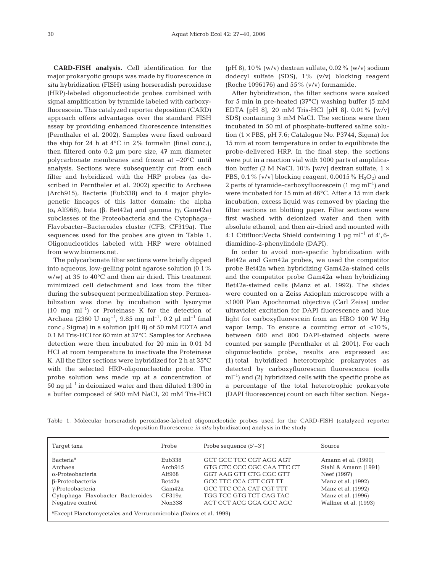**CARD-FISH analysis.** Cell identification for the major prokaryotic groups was made by fluorescence *in situ* hybridization (FISH) using horseradish peroxidase (HRP)-labeled oligonucleotide probes combined with signal amplification by tyramide labeled with carboxyfluorescein. This catalyzed reporter deposition (CARD) approach offers advantages over the standard FISH assay by providing enhanced fluorescence intensities (Pernthaler et al. 2002). Samples were fixed onboard the ship for 24 h at  $4^{\circ}$ C in 2% formalin (final conc.), then filtered onto 0.2 µm pore size, 47 mm diameter polycarbonate membranes and frozen at –20°C until analysis. Sections were subsequently cut from each filter and hybridized with the HRP probes (as described in Pernthaler et al. 2002) specific to Archaea (Arch915), Bacteria (Eub338) and to 4 major phylogenetic lineages of this latter domain: the alpha (α; Alf968), beta (β; Bet42a) and gamma (γ; Gam42a) subclasses of the Proteobacteria and the Cytophaga– Flavobacter–Bacteroides cluster (CFB; CF319a). The sequences used for the probes are given in Table 1. Oligonucleotides labeled with HRP were obtained from www.biomers.net.

The polycarbonate filter sections were briefly dipped into aqueous, low-gelling point agarose solution (0.1% w/w) at 35 to 40°C and then air dried. This treatment minimized cell detachment and loss from the filter during the subsequent permeabilization step. Permeabilization was done by incubation with lysozyme  $(10 \text{ mg } \text{ml}^{-1})$  or Proteinase K for the detection of Archaea (2360 U mg<sup>-1</sup>, 9.85 mg ml<sup>-1</sup>, 0.2 µl ml<sup>-1</sup> final conc.; Sigma) in a solution (pH 8) of 50 mM EDTA and 0.1 M Tris-HCl for 60 min at 37°C. Samples for Archaea detection were then incubated for 20 min in 0.01 M HCl at room temperature to inactivate the Proteinase K. All the filter sections were hybridized for 2 h at 35°C with the selected HRP-oligonucleotide probe. The probe solution was made up at a concentration of 50 ng  $\mu$ <sup>-1</sup> in deionized water and then diluted 1:300 in a buffer composed of 900 mM NaCl, 20 mM Tris-HCl

(pH 8), 10% (w/v) dextran sulfate, 0.02% (w/v) sodium dodecyl sulfate (SDS), 1% (v/v) blocking reagent (Roche 1096176) and 55%  $(v/v)$  formamide.

After hybridization, the filter sections were soaked for 5 min in pre-heated (37°C) washing buffer (5 mM EDTA [pH 8], 20 mM Tris-HCl [pH 8], 0.01% [w/v] SDS) containing 3 mM NaCl. The sections were then incubated in 50 ml of phosphate-buffered saline solution  $(1 \times PBS, pH 7.6; Catalogue No. P3744, Sigma)$  for 15 min at room temperature in order to equilibrate the probe-delivered HRP. In the final step, the sections were put in a reaction vial with 1000 parts of amplification buffer (2 M NaCl, 10% [w/v] dextran sulfate,  $1 \times$ PBS, 0.1% [v/v] blocking reagent, 0.0015%  $H_2O_2$ ] and 2 parts of tyramide-carboxyfluorescein  $(1 \text{ mg ml}^{-1})$  and were incubated for 15 min at 46°C. After a 15 min dark incubation, excess liquid was removed by placing the filter sections on blotting paper. Filter sections were first washed with deionized water and then with absolute ethanol, and then air-dried and mounted with 4:1 Citifluor: Vecta Shield containing 1  $\mu$ g ml<sup>-1</sup> of 4', 6diamidino-2-phenylindole (DAPI).

In order to avoid non-specific hybridization with Bet42a and Gam42a probes, we used the competitor probe Bet42a when hybridizing Gam42a-stained cells and the competitor probe Gam42a when hybridizing Bet42a-stained cells (Manz et al. 1992). The slides were counted on a Zeiss Axioplan microscope with a ×1000 Plan Apochromat objective (Carl Zeiss) under ultraviolet excitation for DAPI fluorescence and blue light for carboxyfluorescein from an HBO 100 W Hg vapor lamp. To ensure a counting error of  $\langle 10\% \rangle$ , between 600 and 800 DAPI-stained objects were counted per sample (Pernthaler et al. 2001). For each oligonucleotide probe, results are expressed as: (1) total hybridized heterotrophic prokaryotes as detected by carboxyfluorescein fluorescence (cells  $ml^{-1}$ ) and (2) hybridized cells with the specific probe as a percentage of the total heterotrophic prokaryote (DAPI fluorescence) count on each filter section. Nega-

Table 1. Molecular horseradish peroxidase-labeled oligonucleotide probes used for the CARD-FISH (catalyzed reporter deposition fluorescence *in situ* hybridization) analysis in the study

| Target taxa                                                                  | Probe   | Probe sequence $(5'-3')$   | Source                |  |
|------------------------------------------------------------------------------|---------|----------------------------|-----------------------|--|
| Bacteria <sup>a</sup>                                                        | Eub338  | GCT GCC TCC CGT AGG AGT    | Amann et al. (1990)   |  |
| Archaea                                                                      | Arch915 | GTG CTC CCC CGC CAA TTC CT | Stahl & Amann (1991)  |  |
| $\alpha$ -Proteobacteria                                                     | A1f968  | GGT AAG GTT CTG CGC GTT    | Neef (1997)           |  |
| $\beta$ -Proteobacteria                                                      | Bet42a  | GCC TTC CCA CTT CGT TT     | Manz et al. (1992)    |  |
| $\gamma$ -Proteobacteria                                                     | Gam42a  | GCC TTC CCA CAT CGT TTT    | Manz et al. (1992)    |  |
| Cytophaga-Flavobacter-Bacteroides                                            | CF319a  | TGG TCC GTG TCT CAG TAC    | Manz et al. (1996)    |  |
| Negative control                                                             | Non338  | ACT CCT ACG GGA GGC AGC    | Wallner et al. (1993) |  |
| <sup>a</sup> Except Planctomycetales and Verrucomicrobia (Daims et al. 1999) |         |                            |                       |  |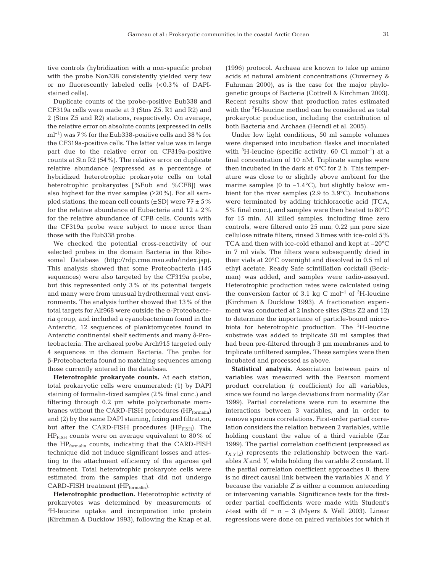tive controls (hybridization with a non-specific probe) with the probe Non338 consistently yielded very few or no fluorescently labeled cells (<0.3% of DAPIstained cells).

Duplicate counts of the probe-positive Eub338 and CF319a cells were made at 3 (Stns Z5, R1 and R2) and 2 (Stns Z5 and R2) stations, respectively. On average, the relative error on absolute counts (expressed in cells  $ml^{-1}$ ) was 7% for the Eub338-positive cells and 38% for the CF319a-positive cells. The latter value was in large part due to the relative error on CF319a-positive counts at Stn R2 (54%). The relative error on duplicate relative abundance (expressed as a percentage of hybridized heterotrophic prokaryote cells on total heterotrophic prokaryotes [%Eub and %CFB]) was also highest for the river samples (≥20%). For all sampled stations, the mean cell counts  $(\pm SD)$  were  $77 \pm 5\%$ for the relative abundance of Eubacteria and  $12 \pm 2\%$ for the relative abundance of CFB cells. Counts with the CF319a probe were subject to more error than those with the Eub338 probe.

We checked the potential cross-reactivity of our selected probes in the domain Bacteria in the Ribosomal Database (http://rdp.cme.msu.edu/index.jsp). This analysis showed that some Proteobacteria (145 sequences) were also targeted by the CF319a probe, but this represented only 3% of its potential targets and many were from unusual hydrothermal vent environments. The analysis further showed that 13% of the total targets for Alf968 were outside the α-Proteobacteria group, and included a cyanobacterium found in the Antarctic, 12 sequences of planktomycetes found in Antarctic continental shelf sediments and many δ-Proteobacteria. The archaeal probe Arch915 targeted only 4 sequences in the domain Bacteria. The probe for β-Proteobacteria found no matching sequences among those currently entered in the database.

**Heterotrophic prokaryote counts.** At each station, total prokaryotic cells were enumerated: (1) by DAPI staining of formalin-fixed samples (2% final conc.) and filtering through 0.2 µm white polycarbonate membranes without the CARD-FISH procedures (HP<sub>formalin</sub>) and (2) by the same DAPI staining, fixing and filtration, but after the CARD-FISH procedures  $(HP_{FISH})$ . The  $HP<sub>FISH</sub>$  counts were on average equivalent to 80% of the HP<sub>formalin</sub> counts, indicating that the CARD-FISH technique did not induce significant losses and attesting to the attachment efficiency of the agarose gel treatment. Total heterotrophic prokaryote cells were estimated from the samples that did not undergo CARD-FISH treatment (HP<sub>formalin</sub>).

**Heterotrophic production.** Heterotrophic activity of prokaryotes was determined by measurements of <sup>3</sup>H-leucine uptake and incorporation into protein (Kirchman & Ducklow 1993), following the Knap et al. (1996) protocol. Archaea are known to take up amino acids at natural ambient concentrations (Ouverney & Fuhrman 2000), as is the case for the major phylogenetic groups of Bacteria (Cottrell & Kirchman 2003). Recent results show that production rates estimated with the <sup>3</sup>H-leucine method can be considered as total prokaryotic production, including the contribution of both Bacteria and Archaea (Herndl et al. 2005).

Under low light conditions, 50 ml sample volumes were dispensed into incubation flasks and inoculated with  ${}^{3}$ H-leucine (specific activity, 60 Ci mmol<sup>-1</sup>) at a final concentration of 10 nM. Triplicate samples were then incubated in the dark at 0°C for 2 h. This temperature was close to or slightly above ambient for the marine samples (0 to  $-1.4$ °C), but slightly below ambient for the river samples (2.9 to 3.9°C). Incubations were terminated by adding trichloracetic acid (TCA, 5% final conc.), and samples were then heated to 80°C for 15 min. All killed samples, including time zero controls, were filtered onto 25 mm, 0.22 µm pore size cellulose nitrate filters, rinsed 3 times with ice-cold 5% TCA and then with ice-cold ethanol and kept at –20°C in 7 ml vials. The filters were subsequently dried in their vials at 20°C overnight and dissolved in 0.5 ml of ethyl acetate. Ready Safe scintillation cocktail (Beckman) was added, and samples were radio-assayed. Heterotrophic production rates were calculated using the conversion factor of 3.1 kg C mol<sup>-1</sup> of <sup>3</sup>H-leucine (Kirchman & Ducklow 1993). A fractionation experiment was conducted at 2 inshore sites (Stns Z2 and 12) to determine the importance of particle-bound microbiota for heterotrophic production. The <sup>3</sup>H-leucine substrate was added to triplicate 50 ml samples that had been pre-filtered through 3  $\mu$ m membranes and to triplicate unfiltered samples. These samples were then incubated and processed as above.

**Statistical analysis.** Association between pairs of variables was measured with the Pearson moment product correlation (r coefficient) for all variables, since we found no large deviations from normality (Zar 1999). Partial correlations were run to examine the interactions between 3 variables, and in order to remove spurious correlations. First-order partial correlation considers the relation between 2 variables, while holding constant the value of a third variable (Zar 1999). The partial correlation coefficient (expressed as  $r_{X,Y|Z}$ ) represents the relationship between the variables *X* and *Y*, while holding the variable *Z* constant. If the partial correlation coefficient approaches 0, there is no direct causal link between the variables *X* and *Y* because the variable *Z* is either a common anteceding or intervening variable. Significance tests for the firstorder partial coefficients were made with Student's *t*-test with df =  $n - 3$  (Myers & Well 2003). Linear regressions were done on paired variables for which it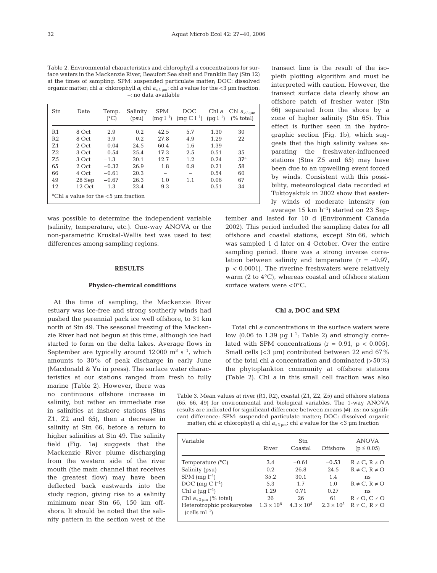Table 2. Environmental characteristics and chlorophyll *a* concentrations for surface waters in the Mackenzie River, Beaufort Sea shelf and Franklin Bay (Stn 12) at the times of sampling. SPM: suspended particulate matter; DOC: dissolved organic matter; chl *a*: chlorophyll *a*; chl  $a_{\text{c,3}}$   $_{\text{nm}}$ ; chl *a* value for the <3  $\mu$ m fraction; –: no data available

| Stn            | Date                                                      | Temp.<br>$(^{\circ}C)$ | Salinity<br>(psu) | <b>SPM</b><br>$(mg l^{-1})$ | DOC<br>$\text{(mg C } l^{-1}\text{)} \text{ (µg } l^{-1}\text{)}$ | Chl a | Chl $a_{<3 \text{ um}}$<br>$(\% \ total)$ |
|----------------|-----------------------------------------------------------|------------------------|-------------------|-----------------------------|-------------------------------------------------------------------|-------|-------------------------------------------|
| R1             | 8 Oct                                                     | 2.9                    | 0.2               | 42.5                        | 5.7                                                               | 1.30  | 30                                        |
| R <sub>2</sub> | 8 Oct                                                     | 3.9                    | 0.2               | 27.8                        | 4.9                                                               | 1.29  | 22                                        |
| Z <sub>1</sub> | 2 Oct                                                     | $-0.04$                | 24.5              | 60.4                        | 1.6                                                               | 1.39  | -                                         |
| Z <sub>2</sub> | 3 Oct                                                     | $-0.54$                | 25.4              | 17.3                        | 2.5                                                               | 0.51  | 35                                        |
| Z <sub>5</sub> | 3 Oct                                                     | $-1.3$                 | 30.1              | 12.7                        | 1.2                                                               | 0.24  | 37 <sup>a</sup>                           |
| 65             | 2 Oct                                                     | $-0.32$                | 26.9              | 1.8                         | 0.9                                                               | 0.21  | 58                                        |
| 66             | 4 Oct                                                     | $-0.61$                | 20.3              |                             |                                                                   | 0.54  | 60                                        |
| 49             | 28 Sep                                                    | $-0.67$                | 26.3              | 1.0                         | 1.1                                                               | 0.06  | 67                                        |
| 12             | $12$ Oct                                                  | $-1.3$                 | 23.4              | 9.3                         |                                                                   | 0.51  | 34                                        |
|                | <sup>a</sup> Chl <i>a</i> value for the $<$ 5 µm fraction |                        |                   |                             |                                                                   |       |                                           |

was possible to determine the independent variable (salinity, temperature, etc.). One-way ANOVA or the non-parametric Kruskal-Wallis test was used to test differences among sampling regions.

## **RESULTS**

## **Physico-chemical conditions**

At the time of sampling, the Mackenzie River estuary was ice-free and strong southerly winds had pushed the perennial pack ice well offshore, to 31 km north of Stn 49. The seasonal freezing of the Mackenzie River had not begun at this time, although ice had started to form on the delta lakes. Average flows in September are typically around  $12\,000 \, \text{m}^3 \, \text{s}^{-1}$ , which amounts to 30% of peak discharge in early June (Macdonald & Yu in press). The surface water characteristics at our stations ranged from fresh to fully

marine (Table 2). However, there was no continuous offshore increase in salinity, but rather an immediate rise in salinities at inshore stations (Stns Z1, Z2 and 65), then a decrease in salinity at Stn 66, before a return to higher salinities at Stn 49. The salinity field (Fig. 1a) suggests that the Mackenzie River plume discharging from the western side of the river mouth (the main channel that receives the greatest flow) may have been deflected back eastwards into the study region, giving rise to a salinity minimum near Stn 66, 150 km offshore. It should be noted that the salinity pattern in the section west of the

transect line is the result of the isopleth plotting algorithm and must be interpreted with caution. However, the transect surface data clearly show an offshore patch of fresher water (Stn 66) separated from the shore by a zone of higher salinity (Stn 65). This effect is further seen in the hydrographic section (Fig. 1b), which suggests that the high salinity values separating the freshwater-influenced stations (Stns Z5 and 65) may have been due to an upwelling event forced by winds. Consistent with this possibility, meteorological data recorded at Tuktoyaktuk in 2002 show that easterly winds of moderate intensity (on average 15 km  $h^{-1}$ ) started on 23 Sep-

tember and lasted for 10 d (Environment Canada 2002). This period included the sampling dates for all offshore and coastal stations, except Stn 66, which was sampled 1 d later on 4 October. Over the entire sampling period, there was a strong inverse correlation between salinity and temperature  $(r = -0.97)$ , p *<* 0.0001). The riverine freshwaters were relatively warm (2 to 4°C), whereas coastal and offshore station surface waters were  $<0$ °C.

## **Chl** *a***, DOC and SPM**

Total chl *a* concentrations in the surface waters were low (0.06 to 1.39  $\mu$ g l<sup>-1</sup>; Table 2) and strongly correlated with SPM concentrations  $(r = 0.91, p < 0.005)$ . Small cells  $( $3 \mu m$ ) contributed between 22 and 67%$ of the total chl *a* concentration and dominated (>50%) the phytoplankton community at offshore stations (Table 2). Chl *a* in this small cell fraction was also

Table 3. Mean values at river (R1, R2), coastal (Z1, Z2, Z5) and offshore stations (65, 66, 49) for environmental and biological variables. The 1-way ANOVA results are indicated for significant difference between means (≠). ns: no significant difference; SPM: suspended particulate matter; DOC: dissolved organic matter; chl *a*: chlorophyll *a*; chl  $a_{<3\,\mu\text{m}}$ : chl *a* value for the <3  $\mu$ m fraction

| Variable                                    | River               | Stn<br>Coastal      | Offshore            | <b>ANOVA</b><br>$(p \le 0.05)$ |
|---------------------------------------------|---------------------|---------------------|---------------------|--------------------------------|
| Temperature $(^{\circ}C)$                   | 3.4                 | $-0.61$             | $-0.53$             | $R \neq C$ , $R \neq O$        |
| Salinity (psu)                              | 0.2                 | 26.8                | 24.5                | $R \neq C$ , $R \neq O$        |
| $SPM$ (mq $l^{-1}$ )                        | 35.2                | 30.1                | 1.4                 | ns                             |
| DOC (mg $Cl^{-1}$ )                         | 5.3                 | 1.7                 | 1.0                 | $R \neq C$ , $R \neq O$        |
| Chl a ( $\mu$ q l <sup>-1</sup> )           | 1.29                | 0.71                | 0.27                | ns                             |
| Chl $a_{<3\mu m}$ (% total)                 | 26                  | 26                  | 61                  | $R \neq O$ , $C \neq O$        |
| Heterotrophic prokaryotes<br>$(cells ml-1)$ | $1.3 \times 10^{6}$ | $4.3 \times 10^{5}$ | $2.3 \times 10^{5}$ | $R \neq C$ , $R \neq O$        |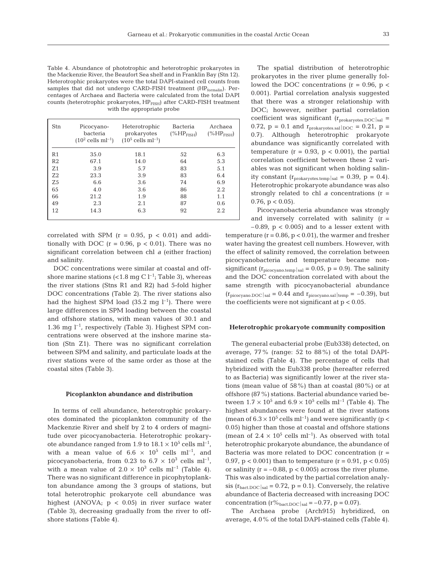Table 4. Abundance of phototrophic and heterotrophic prokaryotes in the Mackenzie River, the Beaufort Sea shelf and in Franklin Bay (Stn 12). Heterotrophic prokaryotes were the total DAPI-stained cell counts from samples that did not undergo CARD-FISH treatment (HP<sub>formalin</sub>). Percentages of Archaea and Bacteria were calculated from the total DAPI counts (heterotrophic prokaryotes, HP<sub>FISH</sub>) after CARD-FISH treatment with the appropriate probe

| Stn            | Picocyano-<br>bacteria<br>$(10^2 \text{ cells ml}^{-1})$ | Heterotrophic<br>prokaryotes<br>$(10^5$ cells ml <sup>-1</sup> ) | <b>Bacteria</b><br>$(\%HP_{FISH})$ | Archaea<br>$(\%HP_{FISH})$ |
|----------------|----------------------------------------------------------|------------------------------------------------------------------|------------------------------------|----------------------------|
| R <sub>1</sub> | 35.0                                                     | 18.1                                                             | 52                                 | 6.3                        |
| R <sub>2</sub> | 67.1                                                     | 14.0                                                             | 64                                 | 5.3                        |
| Z <sub>1</sub> | 3.9                                                      | 5.7                                                              | 83                                 | 5.1                        |
| Z <sub>2</sub> | 23.3                                                     | 3.9                                                              | 83                                 | 6.4                        |
| Z <sub>5</sub> | 6.6                                                      | 3.6                                                              | 74                                 | 6.9                        |
| 65             | 4.0                                                      | 3.6                                                              | 86                                 | 2.2                        |
| 66             | 21.2                                                     | 1.9                                                              | 88                                 | 1.1                        |
| 49             | 2.3                                                      | 2.1                                                              | 87                                 | 0.6                        |
| 12             | 14.3                                                     | 6.3                                                              | 92                                 | 2.2                        |

correlated with SPM  $(r = 0.95, p < 0.01)$  and additionally with DOC ( $r = 0.96$ ,  $p < 0.01$ ). There was no significant correlation between chl *a* (either fraction) and salinity.

DOC concentrations were similar at coastal and offshore marine stations  $\left($ <1.8 mg C  $\right]$ <sup>-1</sup>; Table 3), whereas the river stations (Stns R1 and R2) had 5-fold higher DOC concentrations (Table 2). The river stations also had the highest SPM load  $(35.2 \text{ mg } l^{-1})$ . There were large differences in SPM loading between the coastal and offshore stations, with mean values of 30.1 and 1.36 mg  $l^{-1}$ , respectively (Table 3). Highest SPM concentrations were observed at the inshore marine station (Stn Z1). There was no significant correlation between SPM and salinity, and particulate loads at the river stations were of the same order as those at the coastal sites (Table 3).

#### **Picoplankton abundance and distribution**

In terms of cell abundance, heterotrophic prokaryotes dominated the picoplankton community of the Mackenzie River and shelf by 2 to 4 orders of magnitude over picocyanobacteria. Heterotrophic prokaryote abundance ranged from 1.9 to  $18.1 \times 10^5$  cells ml<sup>-1</sup>, with a mean value of  $6.6 \times 10^5$  cells ml<sup>-1</sup>, and picocyanobacteria, from 0.23 to 6.7  $\times$  10<sup>3</sup> cells ml<sup>-1</sup>, with a mean value of  $2.0 \times 10^3$  cells ml<sup>-1</sup> (Table 4). There was no significant difference in picophytoplankton abundance among the 3 groups of stations, but total heterotrophic prokaryote cell abundance was highest (ANOVA;  $p < 0.05$ ) in river surface water (Table 3), decreasing gradually from the river to offshore stations (Table 4).

The spatial distribution of heterotrophic prokaryotes in the river plume generally followed the DOC concentrations  $(r = 0.96, p <$ 0.001). Partial correlation analysis suggested that there was a stronger relationship with DOC; however, neither partial correlation coefficient was significant  $(r_{\text{prokaryotes.}DOC|sal}$  = 0.72,  $p = 0.1$  and  $r_{\text{prokarvotes,sal}}|_{\text{DOC}} = 0.21$ ,  $p =$ 0.7). Although heterotrophic prokaryote abundance was significantly correlated with temperature  $(r = 0.93, p < 0.001)$ , the partial correlation coefficient between these 2 variables was not significant when holding salinity constant  $(r_{\text{prokaryotes.temp}}|_{\text{sal}} = 0.39, p = 0.4)$ . Heterotrophic prokaryote abundance was also strongly related to chl  $a$  concentrations  $(r =$ 0.76,  $p < 0.05$ ).

Picocyanobacteria abundance was strongly and inversely correlated with salinity  $(r =$  $-0.89$ ,  $p < 0.005$ ) and to a lesser extent with

temperature  $(r = 0.86, p < 0.01)$ , the warmer and fresher water having the greatest cell numbers. However, with the effect of salinity removed, the correlation between picocyanobacteria and temperature became nonsignificant ( $r_{\text{picocvano.temp}}|_{\text{sal}} = 0.05$ ,  $p = 0.9$ ). The salinity and the DOC concentration correlated with about the same strength with picocyanobacterial abundance  $(r_{\text{picocyano.DOC}}|_{\text{sal}} = 0.44$  and  $r_{\text{picocyano.sal}}|_{\text{temp}} = -0.39$ , but the coefficients were not significant at  $p < 0.05$ .

## **Heterotrophic prokaryote community composition**

The general eubacterial probe (Eub338) detected, on average, 77% (range: 52 to 88%) of the total DAPIstained cells (Table 4). The percentage of cells that hybridized with the Eub338 probe (hereafter referred to as Bacteria) was significantly lower at the river stations (mean value of 58%) than at coastal (80%) or at offshore (87%) stations. Bacterial abundance varied between  $1.7 \times 10^5$  and  $6.9 \times 10^5$  cells m<sup>-1</sup> (Table 4). The highest abundances were found at the river stations (mean of  $6.3 \times 10^5$  cells ml<sup>-1</sup>) and were significantly (p < 0.05) higher than those at coastal and offshore stations (mean of  $2.4 \times 10^5$  cells ml<sup>-1</sup>). As observed with total heterotrophic prokaryote abundance, the abundance of Bacteria was more related to DOC concentration  $(r =$ 0.97,  $p < 0.001$ ) than to temperature  $(r = 0.91, p < 0.05)$ or salinity  $(r = -0.88, p < 0.005)$  across the river plume. This was also indicated by the partial correlation analysis  $(r_{\text{backDOC}}|_{\text{sal}} = 0.72, p = 0.1)$ . Conversely, the relative abundance of Bacteria decreased with increasing DOC concentration  $(r\%_{\text{batch-}DC}|_{\text{sal}} = -0.77, p = 0.07)$ .

The Archaea probe (Arch915) hybridized, on average, 4.0% of the total DAPI-stained cells (Table 4).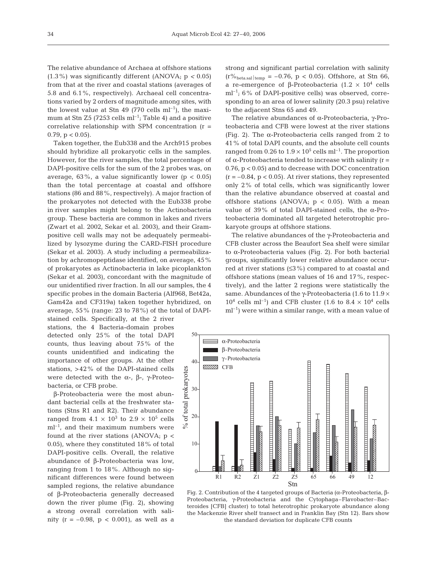The relative abundance of Archaea at offshore stations (1.3%) was significantly different (ANOVA; p *<* 0.05) from that at the river and coastal stations (averages of 5.8 and 6.1%, respectively). Archaeal cell concentrations varied by 2 orders of magnitude among sites, with the lowest value at Stn 49 (770 cells  $ml^{-1}$ ), the maximum at Stn Z5 (7253 cells  $ml^{-1}$ ; Table 4) and a positive correlative relationship with SPM concentration  $(r =$ 0.79,  $p < 0.05$ ).

Taken together, the Eub338 and the Arch915 probes should hybridize all prokaryotic cells in the samples. However, for the river samples, the total percentage of DAPI-positive cells for the sum of the 2 probes was, on average,  $63\%$ , a value significantly lower ( $p < 0.05$ ) than the total percentage at coastal and offshore stations (86 and 88%, respectively). A major fraction of the prokaryotes not detected with the Eub338 probe in river samples might belong to the Actinobacteria group. These bacteria are common in lakes and rivers (Zwart et al. 2002, Sekar et al. 2003), and their Grampositive cell walls may not be adequately permeabilized by lysozyme during the CARD-FISH procedure (Sekar et al. 2003). A study including a permeabilization by achromopeptidase identified, on average, 45% of prokaryotes as Actinobacteria in lake picoplankton (Sekar et al. 2003), concordant with the magnitude of our unidentified river fraction. In all our samples, the 4 specific probes in the domain Bacteria (Alf968, Bet42a, Gam42a and CF319a) taken together hybridized, on average, 55% (range: 23 to 78%) of the total of DAPI-

stained cells. Specifically, at the 2 river stations, the 4 Bacteria-domain probes detected only 25% of the total DAPI counts, thus leaving about 75% of the counts unidentified and indicating the importance of other groups. At the other stations, >42% of the DAPI-stained cells were detected with the  $\alpha$ -, β-, γ-Proteobacteria, or CFB probe.

β-Proteobacteria were the most abundant bacterial cells at the freshwater stations (Stns R1 and R2). Their abundance ranged from  $4.1 \times 10^3$  to  $2.9 \times 10^5$  cells  $ml^{-1}$ , and their maximum numbers were found at the river stations  $(ANOVA; p <$ 0.05), where they constituted 18% of total DAPI-positive cells. Overall, the relative abundance of β-Proteobacteria was low, ranging from 1 to 18%. Although no significant differences were found between sampled regions, the relative abundance of β-Proteobacteria generally decreased down the river plume (Fig. 2), showing a strong overall correlation with salinity ( $r = -0.98$ ,  $p < 0.001$ ), as well as a strong and significant partial correlation with salinity  $(r\%_{\text{beta.sal}}|_{\text{temp}} = -0.76, p < 0.05)$ . Offshore, at Stn 66, a re-emergence of β-Proteobacteria (1.2  $\times$  10<sup>4</sup> cells ml–1; 6% of DAPI-positive cells) was observed, corresponding to an area of lower salinity (20.3 psu) relative to the adjacent Stns 65 and 49.

The relative abundances of α-Proteobacteria, γ-Proteobacteria and CFB were lowest at the river stations (Fig. 2). The α-Proteobacteria cells ranged from 2 to 41% of total DAPI counts, and the absolute cell counts ranged from 0.26 to  $1.9 \times 10^5$  cells m<sup>-1</sup>. The proportion of α-Proteobacteria tended to increase with salinity (r = 0.76, p < 0.05) and to decrease with DOC concentration  $(r = -0.84, p < 0.05)$ . At river stations, they represented only 2% of total cells, which was significantly lower than the relative abundance observed at coastal and offshore stations (ANOVA;  $p < 0.05$ ). With a mean value of 39% of total DAPI-stained cells, the α-Proteobacteria dominated all targeted heterotrophic prokaryote groups at offshore stations.

The relative abundances of the γ-Proteobacteria and CFB cluster across the Beaufort Sea shelf were similar to α-Proteobacteria values (Fig. 2). For both bacterial groups, significantly lower relative abundance occurred at river stations (≤3%) compared to at coastal and offshore stations (mean values of 16 and 17%, respectively), and the latter 2 regions were statistically the same. Abundances of the γ-Proteobacteria (1.6 to 11.9 ×  $10^4$  cells ml<sup>-1</sup>) and CFB cluster (1.6 to 8.4  $\times$  10<sup>4</sup> cells  $ml^{-1}$ ) were within a similar range, with a mean value of



Fig. 2. Contribution of the 4 targeted groups of Bacteria (α-Proteobacteria, β-Proteobacteria, γ-Proteobacteria and the Cytophaga–Flavobacter–Bacteroides [CFB] cluster) to total heterotrophic prokaryote abundance along the Mackenzie River shelf transect and in Franklin Bay (Stn 12). Bars show the standard deviation for duplicate CFB counts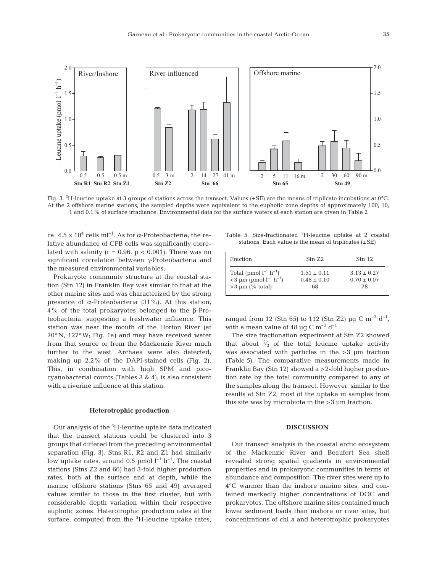

Fig. 3.  $^3$ H-leucine uptake at 3 groups of stations across the transect. Values (±SE) are the means of triplicate incubations at 0°C. At the 2 offshore marine stations, the sampled depths were equivalent to the euphotic zone depths of approximately 100, 10, 1 and 0.1% of surface irradiance. Environmental data for the surface waters at each station are given in Table 2

ca.  $4.5 \times 10^4$  cells ml<sup>-1</sup>. As for  $\alpha$ -Proteobacteria, the relative abundance of CFB cells was significantly correlated with salinity ( $r = 0.96$ ,  $p < 0.001$ ). There was no significant correlation between γ-Proteobacteria and the measured environmental variables.

Prokaryote community structure at the coastal station (Stn 12) in Franklin Bay was similar to that at the other marine sites and was characterized by the strong presence of α-Proteobacteria (31%). At this station, 4% of the total prokaryotes belonged to the β-Proteobacteria, suggesting a freshwater influence. This station was near the mouth of the Horton River (at 70° N, 127° W; Fig. 1a) and may have received water from that source or from the Mackenzie River much further to the west. Archaea were also detected, making up 2.2% of the DAPI-stained cells (Fig. 2). This, in combination with high SPM and picocyanobacterial counts (Tables 3 & 4), is also consistent with a riverine influence at this station.

## **Heterotrophic production**

Our analysis of the <sup>3</sup>H-leucine uptake data indicated that the transect stations could be clustered into 3 groups that differed from the preceding environmental separation (Fig. 3). Stns R1, R2 and Z1 had similarly low uptake rates, around 0.5 pmol  $l^{-1}$  h<sup>-1</sup>. The coastal stations (Stns Z2 and 66) had 3-fold higher production rates, both at the surface and at depth, while the marine offshore stations (Stns 65 and 49) averaged values similar to those in the first cluster, but with considerable depth variation within their respective euphotic zones. Heterotrophic production rates at the surface, computed from the <sup>3</sup>H-leucine uptake rates,

Table 5. Size-fractionated <sup>3</sup>H-leucine uptake at 2 coastal stations. Each value is the mean of triplicates  $(\pm SE)$ 

| Fraction                                         | Stn 7.2       | $Stn$ 12        |
|--------------------------------------------------|---------------|-----------------|
| Total (pmol $l^{-1}$ h <sup>-1</sup> )           | $1.51 + 0.11$ | $3.13 \pm 0.27$ |
| $<$ 3 µm (pmol l <sup>-1</sup> h <sup>-1</sup> ) | $0.48 + 0.10$ | $0.70 \pm 0.07$ |
| $>3 \mu m$ (% total)                             | 68            | 78              |

ranged from 12 (Stn 65) to 112 (Stn Z2)  $\mu$ g C m<sup>-3</sup> d<sup>-1</sup>, with a mean value of 48  $\mu$ g C m<sup>-3</sup> d<sup>-1</sup>.

The size fractionation experiment at Stn Z2 showed that about  $\frac{2}{3}$  of the total leucine uptake activity ⁄ was associated with particles in the >3 µm fraction (Table 5). The comparative measurements made in Franklin Bay (Stn 12) showed a >2-fold higher production rate by the total community compared to any of the samples along the transect. However, similar to the results at Stn Z2, most of the uptake in samples from this site was by microbiota in the >3 µm fraction.

# **DISCUSSION**

Our transect analysis in the coastal arctic ecosystem of the Mackenzie River and Beaufort Sea shelf revealed strong spatial gradients in environmental properties and in prokaryotic communities in terms of abundance and composition. The river sites were up to 4°C warmer than the inshore marine sites, and contained markedly higher concentrations of DOC and prokaryotes. The offshore marine sites contained much lower sediment loads than inshore or river sites, but concentrations of chl *a* and heterotrophic prokaryotes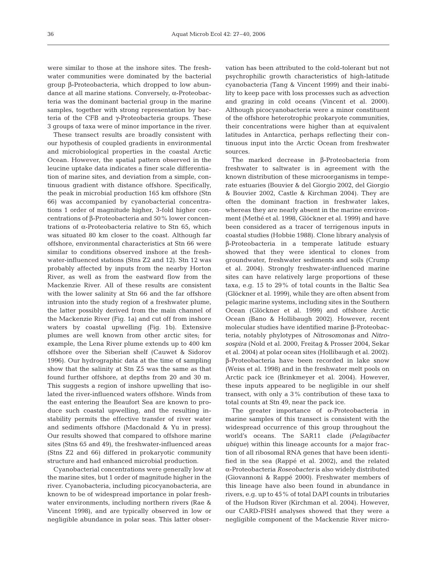were similar to those at the inshore sites. The freshwater communities were dominated by the bacterial group β-Proteobacteria, which dropped to low abundance at all marine stations. Conversely, α-Proteobacteria was the dominant bacterial group in the marine samples, together with strong representation by bacteria of the CFB and γ-Proteobacteria groups. These 3 groups of taxa were of minor importance in the river.

These transect results are broadly consistent with our hypothesis of coupled gradients in environmental and microbiological properties in the coastal Arctic Ocean. However, the spatial pattern observed in the leucine uptake data indicates a finer scale differentiation of marine sites, and deviation from a simple, continuous gradient with distance offshore. Specifically, the peak in microbial production 165 km offshore (Stn 66) was accompanied by cyanobacterial concentrations 1 order of magnitude higher, 3-fold higher concentrations of β-Proteobacteria and 50% lower concentrations of α-Proteobacteria relative to Stn 65, which was situated 80 km closer to the coast. Although far offshore, environmental characteristics at Stn 66 were similar to conditions observed inshore at the freshwater-influenced stations (Stns Z2 and 12). Stn 12 was probably affected by inputs from the nearby Horton River, as well as from the eastward flow from the Mackenzie River. All of these results are consistent with the lower salinity at Stn 66 and the far offshore intrusion into the study region of a freshwater plume, the latter possibly derived from the main channel of the Mackenzie River (Fig. 1a) and cut off from inshore waters by coastal upwelling (Fig. 1b). Extensive plumes are well known from other arctic sites; for example, the Lena River plume extends up to 400 km offshore over the Siberian shelf (Cauwet & Sidorov 1996). Our hydrographic data at the time of sampling show that the salinity at Stn Z5 was the same as that found further offshore, at depths from 20 and 30 m. This suggests a region of inshore upwelling that isolated the river-influenced waters offshore. Winds from the east entering the Beaufort Sea are known to produce such coastal upwelling, and the resulting instability permits the effective transfer of river water and sediments offshore (Macdonald & Yu in press). Our results showed that compared to offshore marine sites (Stns 65 and 49), the freshwater-influenced areas (Stns Z2 and 66) differed in prokaryotic community structure and had enhanced microbial production.

Cyanobacterial concentrations were generally low at the marine sites, but 1 order of magnitude higher in the river. Cyanobacteria, including picocyanobacteria, are known to be of widespread importance in polar freshwater environments, including northern rivers (Rae & Vincent 1998), and are typically observed in low or negligible abundance in polar seas. This latter observation has been attributed to the cold-tolerant but not psychrophilic growth characteristics of high-latitude cyanobacteria (Tang & Vincent 1999) and their inability to keep pace with loss processes such as advection and grazing in cold oceans (Vincent et al. 2000). Although picocyanobacteria were a minor constituent of the offshore heterotrophic prokaryote communities, their concentrations were higher than at equivalent latitudes in Antarctica, perhaps reflecting their continuous input into the Arctic Ocean from freshwater sources.

The marked decrease in β-Proteobacteria from freshwater to saltwater is in agreement with the known distribution of these microorganisms in temperate estuaries (Bouvier & del Giorgio 2002, del Giorgio & Bouvier 2002, Castle & Kirchman 2004). They are often the dominant fraction in freshwater lakes, whereas they are nearly absent in the marine environment (Methé et al. 1998, Glöckner et al. 1999) and have been considered as a tracer of terrigenous inputs in coastal studies (Hobbie 1988). Clone library analysis of β-Proteobacteria in a temperate latitude estuary showed that they were identical to clones from groundwater, freshwater sediments and soils (Crump et al. 2004). Strongly freshwater-influenced marine sites can have relatively large proportions of these taxa, e.g. 15 to 29% of total counts in the Baltic Sea (Glöckner et al. 1999), while they are often absent from pelagic marine systems, including sites in the Southern Ocean (Glöckner et al. 1999) and offshore Arctic Ocean (Bano & Hollibaugh 2002). However, recent molecular studies have identified marine β-Proteobacteria, notably phylotypes of *Nitrosomonas* and *Nitrosospira* (Nold et al. 2000, Freitag & Prosser 2004, Sekar et al. 2004) at polar ocean sites (Hollibaugh et al. 2002). β-Proteobacteria have been recorded in lake snow (Weiss et al. 1998) and in the freshwater melt pools on Arctic pack ice (Brinkmeyer et al. 2004). However, these inputs appeared to be negligible in our shelf transect, with only a 3% contribution of these taxa to total counts at Stn 49, near the pack ice.

The greater importance of α-Proteobacteria in marine samples of this transect is consistent with the widespread occurrence of this group throughout the world's oceans. The SAR11 clade (*Pelagibacter ubique*) within this lineage accounts for a major fraction of all ribosomal RNA genes that have been identified in the sea (Rappé et al. 2002), and the related α-Proteobacteria *Roseobacter* is also widely distributed (Giovannoni & Rappé 2000). Freshwater members of this lineage have also been found in abundance in rivers, e.g. up to 45% of total DAPI counts in tributaries of the Hudson River (Kirchman et al. 2004). However, our CARD-FISH analyses showed that they were a negligible component of the Mackenzie River micro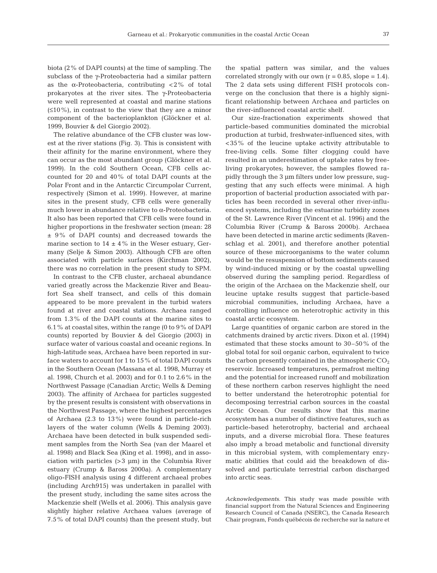biota (2% of DAPI counts) at the time of sampling. The subclass of the γ-Proteobacteria had a similar pattern as the  $\alpha$ -Proteobacteria, contributing <2% of total prokaryotes at the river sites. The γ-Proteobacteria were well represented at coastal and marine stations  $(\leq 10\%)$ , in contrast to the view that they are a minor component of the bacterioplankton (Glöckner et al. 1999, Bouvier & del Giorgio 2002).

The relative abundance of the CFB cluster was lowest at the river stations (Fig. 3). This is consistent with their affinity for the marine environment, where they can occur as the most abundant group (Glöckner et al. 1999). In the cold Southern Ocean, CFB cells accounted for 20 and 40% of total DAPI counts at the Polar Front and in the Antarctic Circumpolar Current, respectively (Simon et al. 1999). However, at marine sites in the present study, CFB cells were generally much lower in abundance relative to α-Proteobacteria. It also has been reported that CFB cells were found in higher proportions in the freshwater section (mean: 28 ± 9% of DAPI counts) and decreased towards the marine section to  $14 \pm 4\%$  in the Weser estuary, Germany (Selje & Simon 2003). Although CFB are often associated with particle surfaces (Kirchman 2002), there was no correlation in the present study to SPM.

In contrast to the CFB cluster, archaeal abundance varied greatly across the Mackenzie River and Beaufort Sea shelf transect, and cells of this domain appeared to be more prevalent in the turbid waters found at river and coastal stations. Archaea ranged from 1.3% of the DAPI counts at the marine sites to 6.1% at coastal sites, within the range (0 to 9% of DAPI counts) reported by Bouvier & del Giorgio (2003) in surface water of various coastal and oceanic regions. In high-latitude seas, Archaea have been reported in surface waters to account for 1 to 15% of total DAPI counts in the Southern Ocean (Massana et al. 1998, Murray et al. 1998, Church et al. 2003) and for 0.1 to 2.6% in the Northwest Passage (Canadian Arctic; Wells & Deming 2003). The affinity of Archaea for particles suggested by the present results is consistent with observations in the Northwest Passage, where the highest percentages of Archaea (2.3 to 13%) were found in particle-rich layers of the water column (Wells & Deming 2003). Archaea have been detected in bulk suspended sediment samples from the North Sea (van der Maarel et al. 1998) and Black Sea (King et al. 1998), and in association with particles (>3 µm) in the Columbia River estuary (Crump & Baross 2000a). A complementary oligo-FISH analysis using 4 different archaeal probes (including Arch915) was undertaken in parallel with the present study, including the same sites across the Mackenzie shelf (Wells et al. 2006). This analysis gave slightly higher relative Archaea values (average of 7.5% of total DAPI counts) than the present study, but

the spatial pattern was similar, and the values correlated strongly with our own  $(r = 0.85, slope = 1.4)$ . The 2 data sets using different FISH protocols converge on the conclusion that there is a highly significant relationship between Archaea and particles on the river-influenced coastal arctic shelf.

Our size-fractionation experiments showed that particle-based communities dominated the microbial production at turbid, freshwater-influenced sites, with <35% of the leucine uptake activity attributable to free-living cells. Some filter clogging could have resulted in an underestimation of uptake rates by freeliving prokaryotes; however, the samples flowed rapidly through the 3 µm filters under low pressure, suggesting that any such effects were minimal. A high proportion of bacterial production associated with particles has been recorded in several other river-influenced systems, including the estuarine turbidity zones of the St. Lawrence River (Vincent et al. 1996) and the Columbia River (Crump & Baross 2000b). Archaea have been detected in marine arctic sediments (Ravenschlag et al. 2001), and therefore another potential source of these microorganisms to the water column would be the resuspension of bottom sediments caused by wind-induced mixing or by the coastal upwelling observed during the sampling period. Regardless of the origin of the Archaea on the Mackenzie shelf, our leucine uptake results suggest that particle-based microbial communities, including Archaea, have a controlling influence on heterotrophic activity in this coastal arctic ecosystem.

Large quantities of organic carbon are stored in the catchments drained by arctic rivers. Dixon et al. (1994) estimated that these stocks amount to 30–50% of the global total for soil organic carbon, equivalent to twice the carbon presently contained in the atmospheric  $CO<sub>2</sub>$ reservoir. Increased temperatures, permafrost melting and the potential for increased runoff and mobilization of these northern carbon reserves highlight the need to better understand the heterotrophic potential for decomposing terrestrial carbon sources in the coastal Arctic Ocean. Our results show that this marine ecosystem has a number of distinctive features, such as particle-based heterotrophy, bacterial and archaeal inputs, and a diverse microbial flora. These features also imply a broad metabolic and functional diversity in this microbial system, with complementary enzymatic abilities that could aid the breakdown of dissolved and particulate terrestrial carbon discharged into arctic seas.

*Acknowledgements*. This study was made possible with financial support from the Natural Sciences and Engineering Research Council of Canada (NSERC), the Canada Research Chair program, Fonds québécois de recherche sur la nature et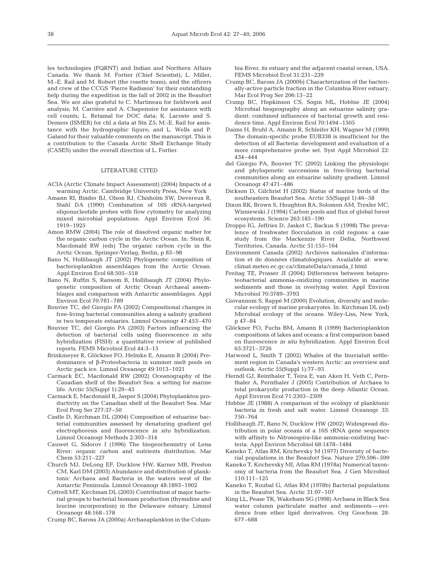les technologies (FQRNT) and Indian and Northern Affairs Canada. We thank M. Fortier (Chief Scientist); L. Miller, M.-E. Rail and M. Robert (the rosette team); and the officers and crew of the CCGS 'Pierre Radisson' for their outstanding help during the expedition in the fall of 2002 in the Beaufort Sea. We are also grateful to C. Martineau for fieldwork and analysis; M. Carrière and A. Chapenoire for assistance with cell counts; L. Retamal for DOC data; K. Lacoste and S. Demers (ISMER) for chl *a* data at Stn Z5; M.-E. Rail for assistance with the hydrographic figure; and L. Wells and P. Galand for their valuable comments on the manuscript. This is a contribution to the Canada Arctic Shelf Exchange Study (CASES) under the overall direction of L. Fortier.

## LITERATURE CITED

- ACIA (Arctic Climate Impact Assessment) (2004) Impacts of a warming Arctic. Cambridge University Press, New York
- Amann RI, Binder BJ, Olson RJ, Chisholm SW, Devereux R, Stahl DA (1990) Combination of 16S rRNA-targeted oligonucleotide probes with flow cytometry for analyzing mixed microbial populations. Appl Environ Ecol 56: 1919–1925
- Amon RMW (2004) The role of dissolved organic matter for the organic carbon cycle in the Arctic Ocean. In: Stein R, Macdonald RW (eds) The organic carbon cycle in the Arctic Ocean. Springer-Verlag, Berlin, p 83–98
- Bano N, Hollibaugh JT (2002) Phylogenetic composition of bacterioplankton assemblages from the Arctic Ocean. Appl Environ Ecol 68:505–518
- Bano N, Ruffin S, Ransom B, Hollibaugh JT (2004) Phylogenetic composition of Arctic Ocean Archaeal assemblages and comparison with Antarctic assemblages. Appl Environ Ecol 70:781–789
- Bouvier TC, del Giorgio PA (2002) Compositional changes in free-living bacterial communities along a salinity gradient in two temperate estuaries. Limnol Oceanogr 47:453–470
- Bouvier TC, del Giorgio PA (2003) Factors influencing the detection of bacterial cells using fluorescence *in situ* hybridization (FISH): a quantitative review of published reports. FEMS Microbiol Ecol 44:3–15
- Brinkmeyer R, Glöckner FO, Helmke E, Amann R (2004) Predominance of β-Proteobacteria in summer melt pools on Arctic pack ice. Limnol Oceanogr 49:1013–1021
- Carmack EC, Macdonald RW (2002) Oceanography of the Canadian shelf of the Beaufort Sea: a setting for marine life. Arctic 55(Suppl 1):29–45
- Carmack E, Macdonald R, Jasper S (2004) Phytoplankton productivity on the Canadian shelf of the Beaufort Sea. Mar Ecol Prog Ser 277:37–50
- Castle D, Kirchman DL (2004) Composition of estuarine bacterial communities assessed by denaturing gradient gel electrophoresis and fluorescence *in situ* hybridization. Limnol Oceanogr Methods 2:303–314
- Cauwet G, Sidorov I (1996) The biogeochemistry of Lena River: organic carbon and nutrients distribution. Mar Chem 53:211–227
- Church MJ, DeLong EF, Ducklow HW, Karner MB, Preston CM, Karl DM (2003) Abundance and distribution of planktonic Archaea and Bacteria in the waters west of the Antarctic Peninsula. Limnol Oceanogr 48:1893–1902
- Cottrell MT, Kirchman DL (2003) Contribution of major bacterial groups to bacterial biomass production (thymidine and leucine incorporation) in the Delaware estuary. Limnol Oceanogr 48:168–178
- Crump BC, Baross JA (2000a) Archaeaplankton in the Colum-

bia River, its estuary and the adjacent coastal ocean, USA. FEMS Microbiol Ecol 31:231–239

- Crump BC, Baross JA (2000b) Characterization of the bacterially-active particle fraction in the Columbia River estuary. Mar Ecol Prog Ser 206:13–22
- Crump BC, Hopkinson CS, Sogin ML, Hobbie JE (2004) Microbial biogeography along an estuarine salinity gradient: combined influences of bacterial growth and residence time. Appl Environ Ecol 70:1494–1505
- Daims H, Bruhl A, Amann R, Schleifer KH, Wagner M (1999) The domain-specific probe EUB338 is insufficient for the detection of all Bacteria: development and evaluation of a more comprehensive probe set. Syst Appl Microbiol 22: 434–444
- del Giorgio PA, Bouvier TC (2002) Linking the physiologic and phylogenetic successions in free-living bacterial communities along an estuarine salinity gradient. Limnol Oceanogr 47:471–486
- Dickson D, Gilchrist H (2002) Status of marine birds of the southeastern Beaufort Sea. Arctic 55(Suppl 1):46–58
- Dixon RK, Brown S, Houghton RA, Solomon AM, Trexler MC, Wisniewski J (1994) Carbon pools and flux of global forest ecosystems. Science 263:185–190
- Droppo IG, Jeffries D, Jaskot C, Backus S (1998) The prevalence of freshwater flocculation in cold regions: a case study from the Mackenzie River Delta, Northwest Territories, Canada. Arctic 51:155–164
- Environment Canada (2002) Archives nationales d'information et de données climatologiques. Available at: www. climat.meteo.ec.gc.ca/climateData/canada\_f.html
- Freitag TE, Prosser JI (2004) Differences between betaproteobacterial ammonia-oxidizing communities in marine sediments and those in overlying water. Appl Environ Microbiol 70:3789–3793
- Giovannoni S, Rappé M (2000) Evolution, diversity and molecular ecology of marine prokaryotes. In: Kirchman DL (ed) Microbial ecology of the oceans. Wiley-Liss, New York, p 47–84
- Glöckner FO, Fuchs BM, Amann R (1999) Bacterioplankton compositions of lakes and oceans: a first comparison based on fluorescence *in situ* hybridization. Appl Environ Ecol 65:3721–3726
- Harwood L, Smith T (2002) Whales of the Inuvialuit settlement region in Canada's western Arctic: an overview and outlook. Arctic 55(Suppl 1):77–93
- Herndl GJ, Reinthaler T, Teira E, van Aken H, Veth C, Pernthaler A, Pernthaler J (2005) Contribution of Archaea to total prokaryotic production in the deep Atlantic Ocean. Appl Environ Ecol 71:2303–2309
- Hobbie JE (1988) A comparison of the ecology of planktonic bacteria in fresh and salt water. Limnol Oceanogr 33: 750–764
- Hollibaugh JT, Bano N, Ducklow HW (2002) Widespread distribution in polar oceans of a 16S rRNA gene sequence with affinity to *Nitrosospira*-like ammonia-oxidizing bacteria. Appl Environ Microbiol 68:1478–1484
- Kaneko T, Atlas RM, Krichevsky M (1977) Diversity of bacterial populations in the Beaufort Sea. Nature 270:596–599
- Kaneko T, Krichevsky MI, Atlas RM (1978a) Numerical taxonomy of bacteria from the Beaufort Sea. J Gen Microbiol 110:111–125
- Kaneko T, Roubal G, Atlas RM (1978b) Bacterial populations in the Beaufort Sea. Arctic 31:97–107
- King LL, Pease TK, Wakeham SG (1998) Archaea in Black Sea water column particulate matter and sediments — evidence from ether lipid derivatives. Org Geochem 28: 677–688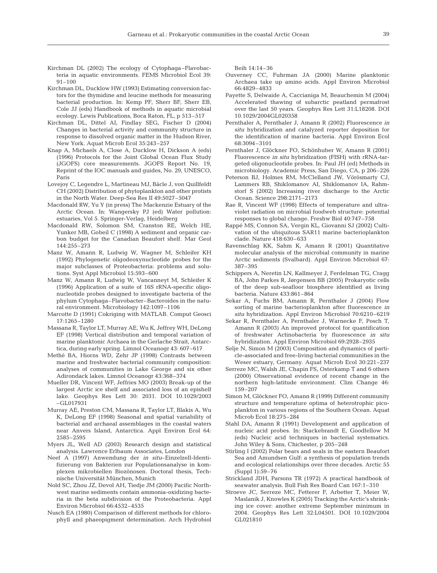- Kirchman DL (2002) The ecology of Cytophaga–Flavobacteria in aquatic environments. FEMS Microbiol Ecol 39:  $91 - 100$
- Kirchman DL, Ducklow HW (1993) Estimating conversion factors for the thymidine and leucine methods for measuring bacterial production. In: Kemp PF, Sherr BF, Sherr EB, Cole JJ (eds) Handbook of methods in aquatic microbial ecology. Lewis Publications, Boca Raton, FL, p 513–517
- Kirchman DL, Dittel AI, Findlay SEG, Fischer D (2004) Changes in bacterial activity and community structure in response to dissolved organic matter in the Hudson River, New York. Aquat Microb Ecol 35:243–257
- Knap A, Michaels A, Close A, Ducklow H, Dickson A (eds) (1996) Protocols for the Joint Global Ocean Flux Study (JGOFS) core measurements*.* JGOFS Report No. 19, Reprint of the IOC manuals and guides, No. 29, UNESCO, Paris
- Lovejoy C, Legendre L, Martineau MJ, Bâcle J, von Quillfeldt CH (2002) Distribution of phytoplankton and other protists in the North Water. Deep-Sea Res II 49:5027–5047
- Macdonald RW, Yu Y (in press) The Mackenzie Estuary of the Arctic Ocean. In: Wangersky PJ (ed) Water pollution: estuaries, Vol 5. Springer-Verlag, Heidelberg
- Macdonald RW, Solomon SM, Cranston RE, Welch HE, Yunker MB, Gobeil C (1998) A sediment and organic carbon budget for the Canadian Beaufort shelf. Mar Geol 144:255–273
- Manz W, Amann R, Ludwig W, Wagner M, Schleifer KH (1992) Phylogenetic oligodeoxynucleotide probes for the major subclasses of Proteobacteria: problems and solutions. Syst Appl Microbiol 15:593–600
- Manz W, Amann R, Ludwig W, Vancanneyt M, Schleifer K (1996) Application of a suite of 16S rRNA-specific oligonucleotide probes designed to investigate bacteria of the phylum Cytophaga–Flavobacter–Bacteroides in the natural environment. Microbiology 142:1097–1106
- Marcotte D (1991) Cokriging with MATLAB. Comput Geosci 17:1265–1280
- Massana R, Taylor LT, Murray AE, Wu K, Jeffrey WH, DeLong EF (1998) Vertical distribution and temporal variation of marine planktonic Archaea in the Gerlache Strait, Antarctica, during early spring. Limnol Oceanogr 43: 607–617
- Methé BA, Hiorns WD, Zehr JP (1998) Contrasts between marine and freshwater bacterial community composition: analyses of communities in Lake George and six other Adirondack lakes. Limnol Oceanogr 43:368–374
- Mueller DR, Vincent WF, Jeffries MO (2003) Break-up of the largest Arctic ice shelf and associated loss of an epishelf lake. Geophys Res Lett 30: 2031. DOI 10.1029/2003 –GL017931
- Murray AE, Preston CM, Massana R, Taylor LT, Blakis A, Wu K, DeLong EF (1998) Seasonal and spatial variability of bacterial and archaeal assemblages in the coastal waters near Anvers Island, Antarctica. Appl Environ Ecol 64: 2585–2595
- Myers JL, Well AD (2003) Research design and statistical analysis. Lawrence Erlbaum Associates, London
- Neef A (1997) Anwendung der *in situ*–Einzelzell-Identifizierung von Bakterien zur Populationsanalyse in komplexen mikrobiellen Biozönosen. Doctoral thesis, Technische Universität München, Munich
- Nold SC, Zhou JZ, Devol AH, Tiedje JM (2000) Pacific Northwest marine sediments contain ammonia-oxidizing bacteria in the beta subdivision of the Proteobacteria. Appl Environ Microbiol 66:4532–4535
- Nusch EA (1980) Comparison of different methods for chlorophyll and phaeopigment determination. Arch Hydrobiol

Beih 14:14–36

- Ouverney CC, Fuhrman JA (2000) Marine planktonic Archaea take up amino acids. Appl Environ Microbiol 66:4829–4833
- Payette S, Delwaide A, Caccianiga M, Beauchemin M (2004) Accelerated thawing of subarctic peatland permafrost over the last 50 years. Geophys Res Lett 31:L18208. DOI 10.1029/2004GL020358
- Pernthaler A, Pernthaler J, Amann R (2002) Fluorescence *in situ* hybridization and catalyzed reporter deposition for the identification of marine bacteria. Appl Environ Ecol 68:3094–3101
- Pernthaler J, Glöckner FO, Schönhuber W, Amann R (2001) Fluorescence *in situ* hybridization (FISH) with rRNA-targeted oligonucleotide probes. In: Paul JH (ed) Methods in microbiology. Academic Press, San Diego, CA, p 206–226
- Peterson BJ, Holmes RM, McClelland JW, Vörösmarty CJ, Lammers RB, Shiklomanov AI, Shiklomanov IA, Rahmstorf S (2002) Increasing river discharge to the Arctic Ocean. Science 298:2171–2173
- Rae R, Vincent WF (1998) Effects of temperature and ultraviolet radiation on microbial foodweb structure: potential responses to global change. Freshw Biol 40:747–758
- Rappé MS, Connon SA, Vergin KL, Giovanni SJ (2002) Cultivation of the ubiquitous SAR11 marine bacterioplankton clade. Nature 418:630–633
- Ravenschlag KK, Sahm K, Amann R (2001) Quantitative molecular analysis of the microbial community in marine Arctic sediments (Svalbard). Appl Environ Microbiol 67: 387–395
- Schippers A, Neretin LN, Kallmeyer J, Ferdelman TG, Cragg BA, John Parkes R, Jørgensen BB (2005) Prokaryotic cells of the deep sub-seafloor biosphere identified as living bacteria. Nature 433:861–864
- Sekar A, Fuchs BM, Amann R, Pernthaler J (2004) Flow sorting of marine bacterioplankton after fluorescence *in situ* hybridization. Appl Environ Microbiol 70:6210–6219
- Sekar R, Pernthaler A, Pernthaler J, Warnecke F, Posch T, Amann R (2003) An improved protocol for quantification of freshwater Actinobacteria by fluorescence *in situ* hybridization. Appl Environ Microbiol 69:2928–2935
- Selje N, Simon M (2003) Composition and dynamics of particle-associated and free-living bacterial communities in the Weser estuary, Germany. Aquat Microb Ecol 30:221–237
- Serreze MC, Walsh JE, Chapin FS, Osterkamp T and 6 others (2000) Observational evidence of recent change in the northern high-latitude environment. Clim Change 46: 159–207
- Simon M, Glöckner FO, Amann R (1999) Different community structure and temperature optima of heterotrophic picoplankton in various regions of the Southern Ocean. Aquat Microb Ecol 18:275–284
- Stahl DA, Amann R (1991) Development and application of nucleic acid probes. In: Stackebrandt E, Goodfellow M (eds) Nucleic acid techniques in bacterial systematics. John Wiley & Sons, Chichester, p 205–248
- Stirling I (2002) Polar bears and seals in the eastern Beaufort Sea and Amundsen Gulf: a synthesis of population trends and ecological relationships over three decades. Arctic 55 (Suppl 1):59–76
- Strickland JDH, Parsons TR (1972) A practical handbook of seawater analysis. Bull Fish Res Board Can 167:1–310
- Stroeve JC, Serreze MC, Fetterer F, Arbetter T, Meier W, Maslanik J, Knowles K (2005) Tracking the Arctic's shrinking ice cover: another extreme September minimum in 2004. Geophys Res Lett 32:L04501. DOI 10.1029/2004 GL021810